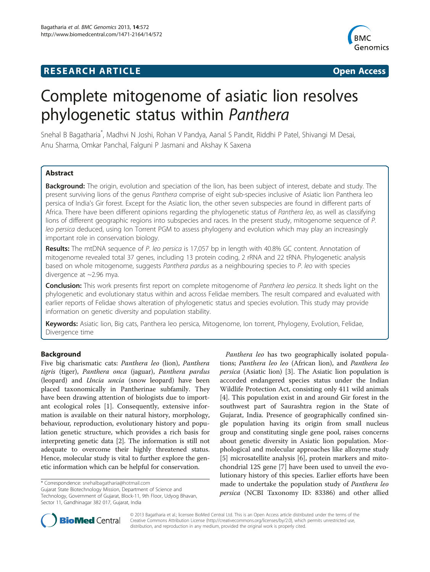# **RESEARCH ARTICLE Example 2014 12:30 The SEAR CH ACCESS**



# Complete mitogenome of asiatic lion resolves phylogenetic status within Panthera

Snehal B Bagatharia\* , Madhvi N Joshi, Rohan V Pandya, Aanal S Pandit, Riddhi P Patel, Shivangi M Desai, Anu Sharma, Omkar Panchal, Falguni P Jasmani and Akshay K Saxena

# **Abstract**

Background: The origin, evolution and speciation of the lion, has been subject of interest, debate and study. The present surviving lions of the genus Panthera comprise of eight sub-species inclusive of Asiatic lion Panthera leo persica of India's Gir forest. Except for the Asiatic lion, the other seven subspecies are found in different parts of Africa. There have been different opinions regarding the phylogenetic status of Panthera leo, as well as classifying lions of different geographic regions into subspecies and races. In the present study, mitogenome sequence of P. leo persica deduced, using Ion Torrent PGM to assess phylogeny and evolution which may play an increasingly important role in conservation biology.

Results: The mtDNA sequence of P. leo persica is 17,057 bp in length with 40.8% GC content. Annotation of mitogenome revealed total 37 genes, including 13 protein coding, 2 rRNA and 22 tRNA. Phylogenetic analysis based on whole mitogenome, suggests Panthera pardus as a neighbouring species to P. leo with species divergence at ~2.96 mya.

Conclusion: This work presents first report on complete mitogenome of Panthera leo persica. It sheds light on the phylogenetic and evolutionary status within and across Felidae members. The result compared and evaluated with earlier reports of Felidae shows alteration of phylogenetic status and species evolution. This study may provide information on genetic diversity and population stability.

Keywords: Asiatic lion, Big cats, Panthera leo persica, Mitogenome, Ion torrent, Phylogeny, Evolution, Felidae, Divergence time

# Background

Five big charismatic cats: Panthera leo (lion), Panthera tigris (tiger), Panthera onca (jaguar), Panthera pardus (leopard) and Uncia uncia (snow leopard) have been placed taxonomically in Pantherinae subfamily. They have been drawing attention of biologists due to important ecological roles [\[1](#page-7-0)]. Consequently, extensive information is available on their natural history, morphology, behaviour, reproduction, evolutionary history and population genetic structure, which provides a rich basis for interpreting genetic data [[2\]](#page-7-0). The information is still not adequate to overcome their highly threatened status. Hence, molecular study is vital to further explore the genetic information which can be helpful for conservation.

\* Correspondence: [snehalbagatharia@hotmail.com](mailto:snehalbagatharia@hotmail.com)

Gujarat State Biotechnology Mission, Department of Science and Technology, Government of Gujarat, Block-11, 9th Floor, Udyog Bhavan, Sector 11, Gandhinagar 382 017, Gujarat, India

Panthera leo has two geographically isolated populations; Panthera leo leo (African lion), and Panthera leo persica (Asiatic lion) [\[3](#page-7-0)]. The Asiatic lion population is accorded endangered species status under the Indian Wildlife Protection Act, consisting only 411 wild animals [[4\]](#page-7-0). This population exist in and around Gir forest in the southwest part of Saurashtra region in the State of Gujarat, India. Presence of geographically confined single population having its origin from small nucleus group and constituting single gene pool, raises concerns about genetic diversity in Asiatic lion population. Morphological and molecular approaches like allozyme study [[5\]](#page-7-0) microsatellite analysis [\[6\]](#page-7-0), protein markers and mitochondrial 12S gene [\[7](#page-7-0)] have been used to unveil the evolutionary history of this species. Earlier efforts have been made to undertake the population study of *Panthera leo* persica (NCBI Taxonomy ID: 83386) and other allied



© 2013 Bagatharia et al.; licensee BioMed Central Ltd. This is an Open Access article distributed under the terms of the Creative Commons Attribution License (<http://creativecommons.org/licenses/by/2.0>), which permits unrestricted use, distribution, and reproduction in any medium, provided the original work is properly cited.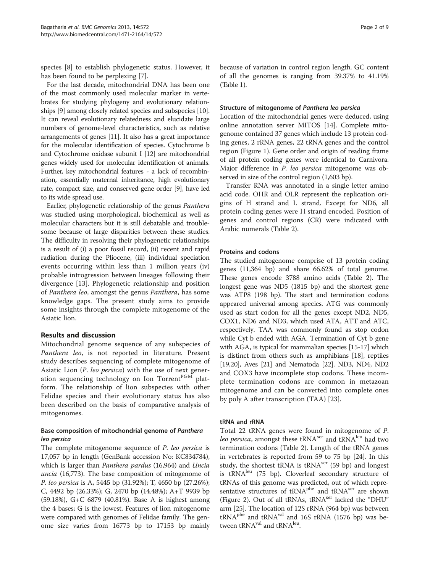species [[8\]](#page-7-0) to establish phylogenetic status. However, it has been found to be perplexing [\[7\]](#page-7-0).

For the last decade, mitochondrial DNA has been one of the most commonly used molecular marker in vertebrates for studying phylogeny and evolutionary relationships [\[9](#page-7-0)] among closely related species and subspecies [\[10](#page-7-0)]. It can reveal evolutionary relatedness and elucidate large numbers of genome-level characteristics, such as relative arrangements of genes [\[11\]](#page-7-0). It also has a great importance for the molecular identification of species. Cytochrome b and Cytochrome oxidase subunit I [\[12\]](#page-7-0) are mitochondrial genes widely used for molecular identification of animals. Further, key mitochondrial features - a lack of recombination, essentially maternal inheritance, high evolutionary rate, compact size, and conserved gene order [\[9](#page-7-0)], have led to its wide spread use.

Earlier, phylogenetic relationship of the genus Panthera was studied using morphological, biochemical as well as molecular characters but it is still debatable and troublesome because of large disparities between these studies. The difficulty in resolving their phylogenetic relationships is a result of (i) a poor fossil record, (ii) recent and rapid radiation during the Pliocene, (iii) individual speciation events occurring within less than 1 million years (iv) probable introgression between lineages following their divergence [\[13](#page-7-0)]. Phylogenetic relationship and position of Panthera leo, amongst the genus Panthera, has some knowledge gaps. The present study aims to provide some insights through the complete mitogenome of the Asiatic lion.

# Results and discussion

Mitochondrial genome sequence of any subspecies of Panthera leo, is not reported in literature. Present study describes sequencing of complete mitogenome of Asiatic Lion (P. leo persica) with the use of next generation sequencing technology on Ion Torrent<sup>PGM</sup> platform. The relationship of lion subspecies with other Felidae species and their evolutionary status has also been described on the basis of comparative analysis of mitogenomes.

# Base composition of mitochondrial genome of Panthera leo persica

The complete mitogenome sequence of P. leo persica is 17,057 bp in length (GenBank accession No: KC834784), which is larger than *Panthera pardus* (16,964) and *Uncia* uncia (16,773). The base composition of mitogenome of P. leo persica is A, 5445 bp (31.92%); T, 4650 bp (27.26%); C, 4492 bp (26.33%); G, 2470 bp (14.48%); A+T 9939 bp (59.18%), G+C 6879 (40.81%). Base A is highest among the 4 bases; G is the lowest. Features of lion mitogenome were compared with genomes of Felidae family. The genome size varies from 16773 bp to 17153 bp mainly because of variation in control region length. GC content of all the genomes is ranging from 39.37% to 41.19% (Table [1](#page-2-0)).

### Structure of mitogenome of Panthera leo persica

Location of the mitochondrial genes were deduced, using online annotation server MITOS [\[14\]](#page-7-0). Complete mitogenome contained 37 genes which include 13 protein coding genes, 2 rRNA genes, 22 tRNA genes and the control region (Figure [1\)](#page-2-0). Gene order and origin of reading frame of all protein coding genes were identical to Carnivora. Major difference in *P. leo persica* mitogenome was observed in size of the control region (1,603 bp).

Transfer RNA was annotated in a single letter amino acid code. OHR and OLR represent the replication origins of H strand and L strand. Except for ND6, all protein coding genes were H strand encoded. Position of genes and control regions (CR) were indicated with Arabic numerals (Table [2\)](#page-3-0).

# Proteins and codons

The studied mitogenome comprise of 13 protein coding genes (11,364 bp) and share 66.62% of total genome. These genes encode 3788 amino acids (Table [2](#page-3-0)). The longest gene was ND5 (1815 bp) and the shortest gene was ATP8 (198 bp). The start and termination codons appeared universal among species. ATG was commonly used as start codon for all the genes except ND2, ND5, COX1, ND6 and ND3, which used ATA, ATT and ATC, respectively. TAA was commonly found as stop codon while Cyt b ended with AGA. Termination of Cyt b gene with AGA, is typical for mammalian species [\[15-17\]](#page-7-0) which is distinct from others such as amphibians [\[18](#page-7-0)], reptiles [[19,20](#page-7-0)], Aves [[21](#page-7-0)] and Nematoda [\[22\]](#page-7-0). ND3, ND4, ND2 and COX3 have incomplete stop codons. These incomplete termination codons are common in metazoan mitogenome and can be converted into complete ones by poly A after transcription (TAA) [[23\]](#page-7-0).

# tRNA and rRNA

Total 22 tRNA genes were found in mitogenome of P. leo persica, amongst these tRNA<sup>ser</sup> and tRNA<sup>leu</sup> had two termination codons (Table [2\)](#page-3-0). Length of the tRNA genes in vertebrates is reported from 59 to 75 bp [[24](#page-7-0)]. In this study, the shortest tRNA is tRNA<sup>ser</sup> (59 bp) and longest is tRNAleu (75 bp). Cloverleaf secondary structure of tRNAs of this genome was predicted, out of which representative structures of tRNA<sup>phe</sup> and tRNA<sup>ser</sup> are shown (Figure [2\)](#page-4-0). Out of all tRNAs, tRNA<sup>ser</sup> lacked the "DHU" arm [\[25](#page-7-0)]. The location of 12S rRNA (964 bp) was between  $tRNA<sup>phe</sup>$  and  $tRNA<sup>val</sup>$  and 16S rRNA (1576 bp) was between tRNAval and tRNA<sup>leu</sup>.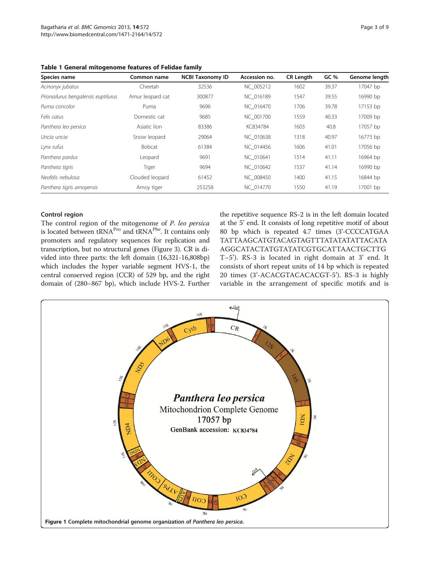<span id="page-2-0"></span>

|  |  | Table 1 General mitogenome features of Felidae family |  |  |  |  |
|--|--|-------------------------------------------------------|--|--|--|--|
|--|--|-------------------------------------------------------|--|--|--|--|

| Species name                        | Common name      | <b>NCBI Taxonomy ID</b> | Accession no. | <b>CR Length</b> | GC%   | Genome length |
|-------------------------------------|------------------|-------------------------|---------------|------------------|-------|---------------|
| Acinonyx jubatus                    | Cheetah          | 32536                   | NC 005212     | 1602             | 39.37 | 17047 bp      |
| Prionailurus bengalensis euptilurus | Amur leopard cat | 300877                  | NC 016189     | 1547             | 39.55 | 16990 bp      |
| Puma concolor                       | Puma             | 9696                    | NC 016470     | 1706             | 39.78 | 17153 bp      |
| Felis catus                         | Domestic cat     | 9685                    | NC 001700     | 1559             | 40.33 | 17009 bp      |
| Panthera leo persica                | Asiatic lion     | 83386                   | KC834784      | 1603             | 40.8  | 17057 bp      |
| Uncia uncia                         | Snow leopard     | 29064                   | NC 010638     | 1318             | 40.97 | 16773 bp      |
| Lynx rufus                          | <b>Bobcat</b>    | 61384                   | NC 014456     | 1606             | 41.01 | 17056 bp      |
| Panthera pardus                     | Leopard          | 9691                    | NC 010641     | 1514             | 41.11 | 16964 bp      |
| Panthera tigris                     | Tiger            | 9694                    | NC 010642     | 1537             | 41.14 | 16990 bp      |
| Neofelis nebulosa                   | Clouded leopard  | 61452                   | NC 008450     | 1400             | 41.15 | 16844 bp      |
| Panthera tigris amoyensis           | Amoy tiger       | 253258                  | NC 014770     | 1550             | 41.19 | 17001 bp      |

# Control region

The control region of the mitogenome of P. leo persica is located between tRNA<sup>Pro</sup> and tRNA<sup>Phe</sup>. It contains only promoters and regulatory sequences for replication and transcription, but no structural genes (Figure [3](#page-4-0)). CR is divided into three parts: the left domain (16,321-16,808bp) which includes the hyper variable segment HVS-1, the central conserved region (CCR) of 529 bp, and the right domain of (280–867 bp), which include HVS-2. Further the repetitive sequence RS-2 is in the left domain located at the 5' end. It consists of long repetitive motif of about 80 bp which is repeated 4.7 times (3'-CCCCATGAA TATTAAGCATGTACAGTAGTTTATATATATTACATA AGGCATACTATGTATATCGTGCATTAACTGCTTG T–5'). RS-3 is located in right domain at 3' end. It consists of short repeat units of 14 bp which is repeated 20 times (3'-ACACGTACACACGT-5'). RS-3 is highly variable in the arrangement of specific motifs and is

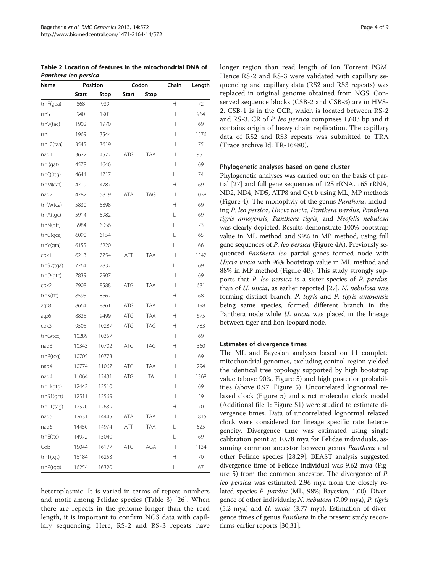<span id="page-3-0"></span>Table 2 Location of features in the mitochondrial DNA of Panthera leo persica

| Name       | Position     |       | Codon        |            | Chain | Length |
|------------|--------------|-------|--------------|------------|-------|--------|
|            | <b>Start</b> | Stop  | <b>Start</b> | Stop       |       |        |
| trnF(gaa)  | 868          | 939   |              |            | Н     | 72     |
| rrnS       | 940          | 1903  |              |            | H     | 964    |
| trnV(tac)  | 1902         | 1970  |              |            | Н     | 69     |
| rrnL       | 1969         | 3544  |              |            | Н     | 1576   |
| trnL2(taa) | 3545         | 3619  |              |            | Н     | 75     |
| nad1       | 3622         | 4572  | ATG          | TAA        | Н     | 951    |
| trnl(gat)  | 4578         | 4646  |              |            | н     | 69     |
| trnQ(ttg)  | 4644         | 4717  |              |            | L     | 74     |
| trnM(cat)  | 4719         | 4787  |              |            | Н     | 69     |
| nad2       | 4782         | 5819  | ATA          | TAG        | Н     | 1038   |
| trnW(tca)  | 5830         | 5898  |              |            | Н     | 69     |
| trnA(tgc)  | 5914         | 5982  |              |            | L     | 69     |
| trnN(gtt)  | 5984         | 6056  |              |            | L     | 73     |
| trnC(gca)  | 6090         | 6154  |              |            | L     | 65     |
| trnY(gta)  | 6155         | 6220  |              |            | L     | 66     |
| $\cos 1$   | 6213         | 7754  | ATT          | <b>TAA</b> | н     | 1542   |
| trnS2(tqa) | 7764         | 7832  |              |            | L     | 69     |
| trnD(qtc)  | 7839         | 7907  |              |            | Н     | 69     |
| $\cos 2$   | 7908         | 8588  | ATG          | <b>TAA</b> | н     | 681    |
| trnK(ttt)  | 8595         | 8662  |              |            | Н     | 68     |
| atp8       | 8664         | 8861  | ATG          | TAA        | Н     | 198    |
| atp6       | 8825         | 9499  | ATG          | <b>TAA</b> | Н     | 675    |
| $\cos 3$   | 9505         | 10287 | ATG          | TAG        | Н     | 783    |
| trnG(tcc)  | 10289        | 10357 |              |            | Н     | 69     |
| nad3       | 10343        | 10702 | ATC          | TAG        | н     | 360    |
| trnR(tcq)  | 10705        | 10773 |              |            | Н     | 69     |
| nad4l      | 10774        | 11067 | ATG          | TAA        | Н     | 294    |
| nad4       | 11064        | 12431 | ATG          | TA         | н     | 1368   |
| trnH(qtq)  | 12442        | 12510 |              |            | Н     | 69     |
| trnS1(gct) | 12511        | 12569 |              |            | Н     | 59     |
| trnL1(tag) | 12570        | 12639 |              |            | Н     | 70     |
| nad5       | 12631        | 14445 | ATA          | <b>TAA</b> | Н     | 1815   |
| nad6       | 14450        | 14974 | ATT          | TAA        | L     | 525    |
| trnE(ttc)  | 14972        | 15040 |              |            | L     | 69     |
| Cob        | 15044        | 16177 | ATG          | AGA        | Н     | 1134   |
| trnT(tgt)  | 16184        | 16253 |              |            | Н     | 70     |
| trnP(tgg)  | 16254        | 16320 |              |            | L     | 67     |

heteroplasmic. It is varied in terms of repeat numbers and motif among Felidae species (Table [3](#page-5-0)) [[26\]](#page-7-0). When there are repeats in the genome longer than the read length, it is important to confirm NGS data with capillary sequencing. Here, RS-2 and RS-3 repeats have longer region than read length of Ion Torrent PGM. Hence RS-2 and RS-3 were validated with capillary sequencing and capillary data (RS2 and RS3 repeats) was replaced in original genome obtained from NGS. Conserved sequence blocks (CSB-2 and CSB-3) are in HVS-2. CSB-1 is in the CCR, which is located between RS-2 and RS-3. CR of P. leo persica comprises 1,603 bp and it contains origin of heavy chain replication. The capillary data of RS2 and RS3 repeats was submitted to TRA (Trace archive Id: TR-16480).

#### Phylogenetic analyses based on gene cluster

Phylogenetic analyses was carried out on the basis of partial [\[27\]](#page-7-0) and full gene sequences of 12S rRNA, 16S rRNA, ND2, ND4, ND5, ATP8 and Cyt b using ML, MP methods (Figure [4\)](#page-5-0). The monophyly of the genus Panthera, including P. leo persica, Uncia uncia, Panthera pardus, Panthera tigris amoyensis, Panthera tigris, and Neofelis nebulosa was clearly depicted. Results demonstrate 100% bootstrap value in ML method and 99% in MP method, using full gene sequences of P. leo persica (Figure [4A](#page-5-0)). Previously sequenced Panthera leo partial genes formed node with Uncia uncia with 96% bootstrap value in ML method and 88% in MP method (Figure [4B](#page-5-0)). This study strongly supports that P. leo persica is a sister species of P. pardus, than of U. uncia, as earlier reported [[27](#page-7-0)]. N. nebulosa was forming distinct branch. P. tigris and P. tigris amoyensis being same species, formed different branch in the Panthera node while *U. uncia* was placed in the lineage between tiger and lion-leopard node.

# Estimates of divergence times

The ML and Bayesian analyses based on 11 complete mitochondrial genomes, excluding control region yielded the identical tree topology supported by high bootstrap value (above 90%, Figure [5](#page-6-0)) and high posterior probabilities (above 0.97, Figure [5\)](#page-6-0). Uncorrelated lognormal relaxed clock (Figure [5\)](#page-6-0) and strict molecular clock model (Additional file [1](#page-7-0): Figure S1) were studied to estimate divergence times. Data of uncorrelated lognormal relaxed clock were considered for lineage specific rate heterogeneity. Divergence time was estimated using single calibration point at 10.78 mya for Felidae individuals, assuming common ancestor between genus *Panthera* and other Felinae species [[28,29\]](#page-7-0). BEAST analysis suggested divergence time of Felidae individual was 9.62 mya (Figure [5\)](#page-6-0) from the common ancestor. The divergence of P. leo persica was estimated 2.96 mya from the closely related species P. pardus (ML, 98%; Bayesian, 1.00). Divergence of other individuals; N. nebulosa (7.09 mya), P. tigris  $(5.2 \text{ mya})$  and *U. uncia*  $(3.77 \text{ mya})$ . Estimation of divergence times of genus *Panthera* in the present study reconfirms earlier reports [[30,31](#page-7-0)].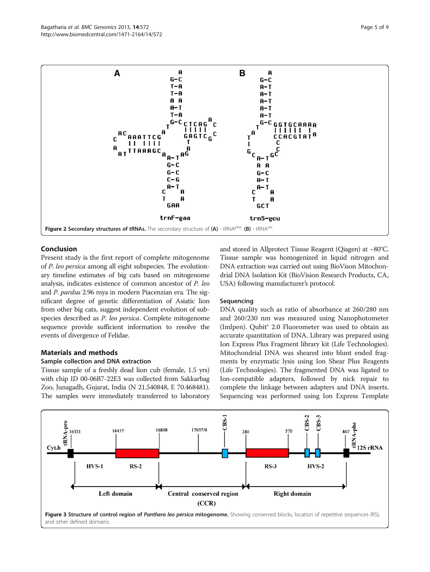<span id="page-4-0"></span>

# Conclusion

Present study is the first report of complete mitogenome of P. leo persica among all eight subspecies. The evolutionary timeline estimates of big cats based on mitogenome analysis, indicates existence of common ancestor of P. leo and P. pardus 2.96 mya in modern Piacenzian era. The significant degree of genetic differentiation of Asiatic lion from other big cats, suggest independent evolution of subspecies described as P. leo persica. Complete mitogenome sequence provide sufficient information to resolve the events of divergence of Felidae.

# Materials and methods

#### Sample collection and DNA extraction

Tissue sample of a freshly dead lion cub (female, 1.5 yrs) with chip ID 00-06B7-22E3 was collected from Sakkarbag Zoo, Junagadh, Gujarat, India (N 21.540848, E 70.468481). The samples were immediately transferred to laboratory and stored in Allprotect Tissue Reagent (Qiagen) at −80°C. Tissue sample was homogenized in liquid nitrogen and DNA extraction was carried out using BioVison Mitochondrial DNA Isolation Kit (BioVision Research Products, CA, USA) following manufacturer's protocol.

#### Sequencing

DNA quality such as ratio of absorbance at 260/280 nm and 260/230 nm was measured using Nanophotometer (Imlpen). Qubit® 2.0 Fluorometer was used to obtain an accurate quantitation of DNA. Library was prepared using Ion Express Plus Fragment library kit (Life Technologies). Mitochondrial DNA was sheared into blunt ended fragments by enzymatic lysis using Ion Shear Plus Reagents (Life Technologies). The fragmented DNA was ligated to Ion-compatible adapters, followed by nick repair to complete the linkage between adapters and DNA inserts. Sequencing was performed using Ion Express Template

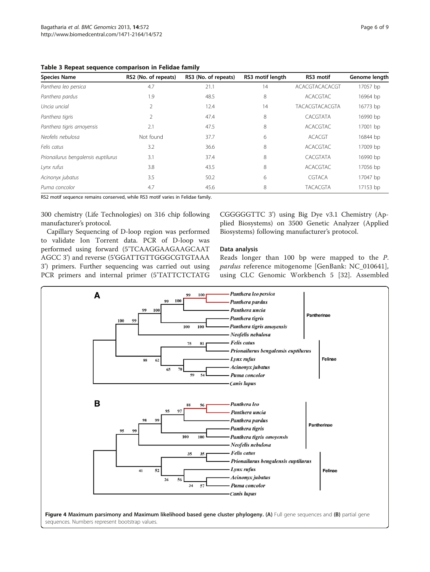<span id="page-5-0"></span>

| Table 3 Repeat sequence comparison in Felidae family |  |  |
|------------------------------------------------------|--|--|
|------------------------------------------------------|--|--|

| <b>Species Name</b>                 | RS2 (No. of repeats) | RS3 (No. of repeats) | RS3 motif length | RS3 motif             | Genome length |
|-------------------------------------|----------------------|----------------------|------------------|-----------------------|---------------|
| Panthera leo persica                | 4.7                  | 21.1                 | 14               | ACACGTACACACGT        | 17057 bp      |
| Panthera pardus                     | 1.9                  | 48.5                 | 8                | <b>ACACGTAC</b>       | 16964 bp      |
| Uncia uncial                        | $\mathfrak{D}$       | 12.4                 | 14               | <b>TACACGTACACGTA</b> | 16773 bp      |
| Panthera tigris                     |                      | 47.4                 | 8                | CACGTATA              | 16990 bp      |
| Panthera tigris amoyensis           | 2.1                  | 47.5                 | 8                | <b>ACACGTAC</b>       | 17001 bp      |
| Neofelis nebulosa                   | Not found            | 37.7                 | 6                | <b>ACACGT</b>         | 16844 bp      |
| Felis catus                         | 3.2                  | 36.6                 | 8                | <b>ACACGTAC</b>       | 17009 bp      |
| Prionailurus bengalensis euptilurus | 3.1                  | 37.4                 | 8                | CACGTATA              | 16990 bp      |
| Lynx rufus                          | 3.8                  | 43.5                 | 8                | <b>ACACGTAC</b>       | 17056 bp      |
| Acinonyx jubatus                    | 3.5                  | 50.2                 | 6                | <b>CGTACA</b>         | 17047 bp      |
| Puma concolor                       | 4.7                  | 45.6                 | 8                | <b>TACACGTA</b>       | 17153 bp      |

RS2 motif sequence remains conserved, while RS3 motif varies in Felidae family.

300 chemistry (Life Technologies) on 316 chip following manufacturer's protocol.

Capillary Sequencing of D-loop region was performed to validate Ion Torrent data. PCR of D-loop was performed using forward (5'TCAAGGAAGAAGCAAT AGCC 3') and reverse (5'GGATTGTTGGGCGTGTAAA 3') primers. Further sequencing was carried out using PCR primers and internal primer (5'TATTCTCTATG CGGGGGTTC 3') using Big Dye v3.1 Chemistry (Applied Biosystems) on 3500 Genetic Analyzer (Applied Biosystems) following manufacturer's protocol.

# Data analysis

Reads longer than 100 bp were mapped to the P. pardus reference mitogenome [GenBank: NC\_010641], using CLC Genomic Workbench 5 [[32\]](#page-8-0). Assembled

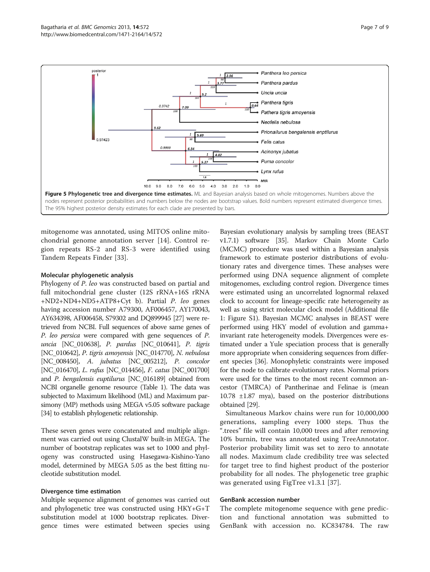<span id="page-6-0"></span>

mitogenome was annotated, using MITOS online mitochondrial genome annotation server [\[14](#page-7-0)]. Control region repeats RS-2 and RS-3 were identified using Tandem Repeats Finder [[33](#page-8-0)].

# Molecular phylogenetic analysis

Phylogeny of P. leo was constructed based on partial and full mitochondrial gene cluster (12S rRNA+16S rRNA +ND2+ND4+ND5+ATP8+Cyt b). Partial P. leo genes having accession number A79300, AF006457, AY170043, AY634398, AF006458, S79302 and DQ899945 [\[27](#page-7-0)] were retrieved from NCBI. Full sequences of above same genes of P. leo persica were compared with gene sequences of P. uncia [NC\_010638], P. pardus [NC\_010641], P. tigris [NC\_010642], P. tigris amoyensis [NC\_014770], N. nebulosa [NC\_008450], A. jubatus [NC\_005212], P. concolor [NC\_016470], L. rufus [NC\_014456], F. catus [NC\_001700] and P. bengalensis euptilurus [NC\_016189] obtained from NCBI organelle genome resource (Table [1](#page-2-0)). The data was subjected to Maximum likelihood (ML) and Maximum parsimony (MP) methods using MEGA v5.05 software package [[34\]](#page-8-0) to establish phylogenetic relationship.

These seven genes were concatenated and multiple alignment was carried out using ClustalW built-in MEGA. The number of bootstrap replicates was set to 1000 and phylogeny was constructed using Hasegawa-Kishino-Yano model, determined by MEGA 5.05 as the best fitting nucleotide substitution model.

#### Divergence time estimation

Multiple sequence alignment of genomes was carried out and phylogenetic tree was constructed using HKY+G+T substitution model at 1000 bootstrap replicates. Divergence times were estimated between species using

Bayesian evolutionary analysis by sampling trees (BEAST v1.7.1) software [[35\]](#page-8-0). Markov Chain Monte Carlo (MCMC) procedure was used within a Bayesian analysis framework to estimate posterior distributions of evolutionary rates and divergence times. These analyses were performed using DNA sequence alignment of complete mitogenomes, excluding control region. Divergence times were estimated using an uncorrelated lognormal relaxed clock to account for lineage-specific rate heterogeneity as well as using strict molecular clock model (Additional file [1:](#page-7-0) Figure S1). Bayesian MCMC analyses in BEAST were performed using HKY model of evolution and gamma+ invariant rate heterogeneity models. Divergences were estimated under a Yule speciation process that is generally more appropriate when considering sequences from different species [\[36\]](#page-8-0). Monophyletic constraints were imposed for the node to calibrate evolutionary rates. Normal priors were used for the times to the most recent common ancestor (TMRCA) of Pantherinae and Felinae is (mean 10.78 ±1.87 mya), based on the posterior distributions obtained [\[29\]](#page-7-0).

Simultaneous Markov chains were run for 10,000,000 generations, sampling every 1000 steps. Thus the ".trees" file will contain 10,000 trees and after removing 10% burnin, tree was annotated using TreeAnnotator. Posterior probability limit was set to zero to annotate all nodes. Maximum clade credibility tree was selected for target tree to find highest product of the posterior probability for all nodes. The phylogenetic tree graphic was generated using FigTree v1.3.1 [[37\]](#page-8-0).

#### GenBank accession number

The complete mitogenome sequence with gene prediction and functional annotation was submitted to GenBank with accession no. KC834784. The raw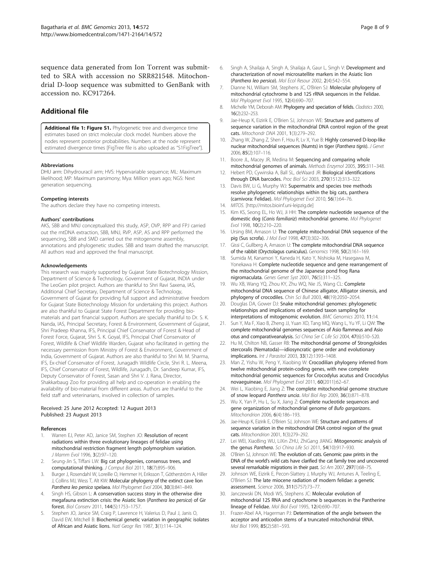<span id="page-7-0"></span>sequence data generated from Ion Torrent was submitted to SRA with accession no SRR821548. Mitochondrial D-loop sequence was submitted to GenBank with accession no. KC917264.

# Additional file

[Additional file 1: Figure S1.](http://www.biomedcentral.com/content/supplementary/1471-2164-14-572-S1.jpeg) Phylogenetic tree and divergence time estimates based on strict molecular clock model. Numbers above the nodes represent posterior probabilities. Numbers at the node represent estimated divergence times [FigTree file is also uploaded as "S1FigTree"].

#### Abbreviations

DHU arm: Dihydrouracil arm; HVS: Hypervariable sequence; ML: Maximum likelihood; MP: Maximum parsimony; Mya: Million years ago; NGS: Next generation sequencing.

#### Competing interests

The authors declare they have no competing interests.

#### Authors' contributions

AKS, SBB and MNJ conceptualized this study, ASP, OVP, RPP and FPJ carried out the mtDNA extraction, SBB, MNJ, RVP, ASP, AS and RPP performed the sequencing, SBB and SMD carried out the mitogenome assembly, annotations and phylogenetic studies. SBB and team drafted the manuscript. All authors read and approved the final manuscript.

#### Acknowledgements

This research was majorly supported by Gujarat State Biotechnology Mission, Department of Science & Technology, Government of Gujarat, INDIA under The LeoGen pilot project. Authors are thankful to Shri Ravi Saxena, IAS, Additional Chief Secretary, Department of Science & Technology, Government of Gujarat for providing full support and administrative freedom for Gujarat State Biotechnology Mission for undertaking this project. Authors are also thankful to Gujarat State Forest Department for providing biomaterials and part financial support. Authors are specially thankful to Dr. S. K. Nanda, IAS, Principal Secretary, Forest & Environment, Government of Gujarat, Shri Pradeep Khanna, IFS, Principal Chief Conservator of Forest & Head of Forest Force, Gujarat, Shri S. K. Goyal, IFS, Principal Chief Conservator of Forest, Wildlife & Chief Wildlife Warden, Gujarat who facilitated in getting the necessary permission from Ministry of Forest & Environment, Government of India, Government of Gujarat. Authors are also thankful to Shri M. M. Sharma, IFS, Ex-chief Conservator of Forest, Junagadh Wildlife Circle, Shri R. L. Meena, IFS, Chief Conservator of Forest, Wildlife, Junagadh, Dr. Sandeep Kumar, IFS, Deputy Conservator of Forest, Sasan and Shri V. J. Rana, Director, Shakkarbaug Zoo for providing all help and co-operation in enabling the availability of bio-material from different areas. Authors are thankful to the field staff and veterinarians, involved in collection of samples.

#### Received: 25 June 2012 Accepted: 12 August 2013 Published: 23 August 2013

#### References

- 1. Warren EJ, Peter AD, Janice SM, Stephen JO: Resolution of recent radiations within three evolutionary lineages of felidae using mitochondrial restriction fragment length polymorphism variation. J Mamm Evol 1996, 3(2):97–120.
- 2. Seung-Jin S, Tiffani LW: Big cat phylogenies, consensus trees, and computational thinking. J Comput Biol 2011, 18(7):895–906.
- 3. Burger J, Rosendahl W, Loreille O, Hemmer H, Eriksson T, Götherström A, Hiller J, Collins MJ, Wess T, Alt KW: Molecular phylogeny of the extinct cave lion Panthera leo persica spelaea. Mol Phylogenet Evol 2004, 30(3):841-849.
- Singh HS, Gibson L: A conservation success story in the otherwise dire megafauna extinction crisis: the Asiatic lion (Panthera leo persica) of Gir forest. Biol Conserv 2011, 144(5):1753–1757.
- Stephen JO, Janice SM, Craig P, Lawrence H, Valerius D, Paul J, Janis O, David EW, Mitchell B: Biochemical genetic variation in geographic isolates of African and Asiatic lions. Natl Geogr Res 1987, 3(1):114–124.
- 6. Singh A, Shailaja A, Singh A, Shailaja A, Gaur L, Singh V: Development and characterization of novel microsatellite markers in the Asiatic lion (Panthera leo persica). Mol Ecol Resour 2002, <sup>2</sup>(4):542–554.
- 7. Dianne NJ, William SM, Stephens JC, O'Brien SJ: Molecular phylogeny of mitochondrial cytochrome b and 12S rRNA sequences in the Felidae. Mol Phylogenet Evol 1995, 12(4):690–707.
- 8. Michelle YM, Deborah AM: Phylogeny and speciation of felids. Cladistics 2000, 16(2):232–253.
- 9. Jae-Heup K, Eizirik E, O'Brien SJ, Johnson WE: Structure and patterns of sequence variation in the mitochondrial DNA control region of the great cats. Mitochondr DNA 2001, 1(3):279–292.
- 10. Zhang W, Zhang Z, Shen F, Hou R, Ly X, Yue B: Highly conserved D-loop-like nuclear mitochondrial sequences (Numts) in tiger (Panthera tigris). J Genet 2006, 85(2):107–116.
- 11. Boore JL, Macey JR, Medina M: Sequencing and comparing whole mitochondrial genomes of animals. Methods Enzymol 2005, 395:311–348.
- 12. Hebert PD, Cywinska A, Ball SL, deWaard JR: Biological identifications through DNA barcodes. Proc Biol Sci 2003, 270(1512):313–322.
- 13. Davis BW, Li G, Murphy WJ: Supermatrix and species tree methods resolve phylogenetic relationships within the big cats, panthera (carnivora: Felidae). Mol Phylogenet Evol 2010, 56(1):64–76.
- 14. MITOS. [\[http://mitos.bioinf.uni-leipzig.de\]](http://mitos.bioinf.uni-leipzig.de)
- 15. Kim KS, Seong EL, Ho WJ, Ji HH: The complete nucleotide sequence of the domestic dog (Canis familiariz) mitochondrial genome. Mol Phylogenet Evol 1998, 10(2):210–220.
- 16. Ursing BM, Arnason U: The complete mitochondrial DNA sequence of the pig (Sus scrofa). J Mol Evol 1998, 47(3):302–306.
- 17. Gissi C, Gullberg A, Arnason U: The complete mitochondrial DNA sequence of the rabbit (Oryctolagus cuniculus). Genomics 1998, 50(2):161–169.
- 18. Sumida M, Kanamori Y, Kaneda H, Kato Y, Nishioka M, Hasegawa M, Yonekawa H: Complete nucleotide sequence and gene rearrangement of the mitochondrial genome of the Japanese pond frog Rana nigromaculata. Genes Genet Syst 2001, 76(5):311–325.
- 19. Wu XB, Wang YQ, Zhou KY, Zhu WQ, Nie JS, Wang CL: Complete mitochondrial DNA sequence of Chinese alligator, Alligator sinensis, and phylogeny of crocodiles. Chin Sci Bull 2003, 48(19):2050–2054.
- 20. Douglas DA, Gower DJ: Snake mitochondrial genomes: phylogenetic relationships and implications of extended taxon sampling for interpretations of mitogenomic evolution. BMC Genomics 2010, 11:14.
- 21. Sun Y, Ma F, Xiao B, Zheng JJ, Yuan XD, Tang MQ, Wang L, Yu YF, Li QW: The complete mitochondrial genomes sequences of Asio flammeus and Asio otus and comparativeanalysis. Sci China Ser C Life Sci 2004, 47(6):510–520.
- 22. Hu M, Chilton NB, Gasser RB: The mitochondrial genome of Strongyloides stercoralis (Nematoda)—idiosyncratic gene order and evolutionary implications. Int J Parasitol 2003, 33(12):1393–1408.
- 23. Man Z, Yishu W, Peng Y, Xiaobing W: Crocodilian phylogeny inferred from twelve mitochondrial protein-coding genes, with new complete mitochondrial genomic sequences for Crocodylus acutus and Crocodylus novaeguineae. Mol Phylogenet Evol 2011, 60(2011):62–67.
- 24. Wei L, Xiaobing E, Jiang Z: The complete mitochondrial genome structure of snow leopard Panthera uncia. Mol Biol Rep 2009, <sup>36</sup>(3):871–878.
- 25. Wu X, Yan P, Hu L, Su X, Jiang Z: Complete nucleotide sequences and gene organization of mitochondrial genome of Bufo gargarizans. Mitochondrion 2006, 6(4):186–193.
- 26. Jae-Heup K, Eizirik E, O'Brien SJ, Johnson WE: Structure and patterns of sequence variation in the mitochondrial DNA control region of the great cats. Mitochondrion 2001, 1(3):279–292.
- 27. Lei WEI, XiaoBing WU, LiXin ZHU, ZhiGang JIANG: Mitogenomic analysis of the genus Panthera. Sci China Life Sci 2011, 54(10):917-930.
- 28. O'Brien SJ, Johnson WE: The evolution of cats. Genomic paw prints in the DNA of the world's wild cats have clarified the cat family tree and uncovered several remarkable migrations in their past. Sci Am 2007, 297(1):68–75.
- 29. Johnson WE, Eizirik E, Pecon-Slattery J, Murphy WJ, Antunes A, Teeling E, O'Brien SJ: The late miocene radiation of modern felidae: a genetic assessment. Science 2006, 311(5757):73–77.
- 30. Janczewski DN, Modi WS, Stephens JC: Molecular evolution of mitochondrial 12S RNA and cytochrome b sequences in the Pantherine lineage of Felidae. Mol Biol Evol 1995, 12(4):690–707.
- 31. Frazer-Abel AA, Hagerman PJ: Determination of the angle between the acceptor and anticodon stems of a truncated mitochondrial tRNA. Mol Biol 1999, 85(2):581–593.